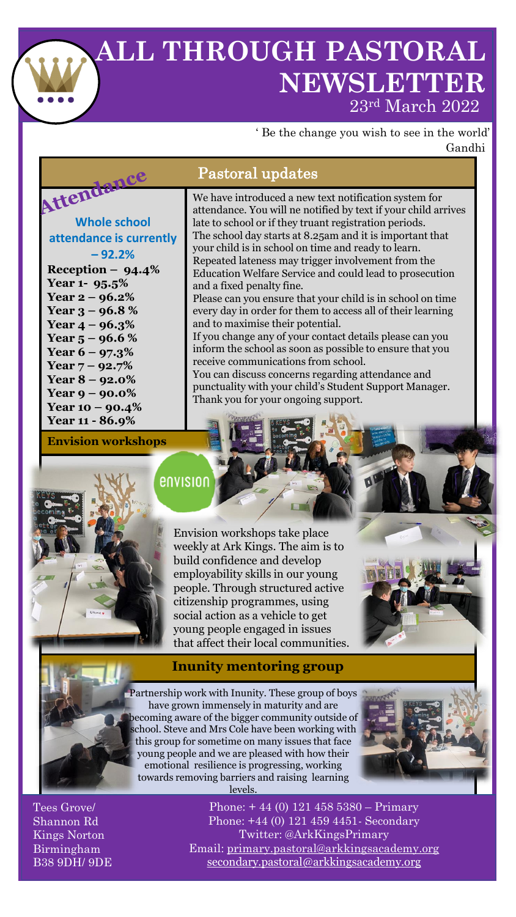## **ALL THROUGH PASTORAL NEWSLETTER** 23rd March 2022

' Be the change you wish to see in the world' Gandhi

## Pastoral updates

## Attendance **Whole school attendance is currently – 92.2%**

**Reception – 94.4% Year 1- 95.5% Year 2 – 96.2% Year 3 – 96.8 % Year 4 – 96.3% Year 5 – 96.6 % Year 6 – 97.3% Year 7 – 92.7% Year 8 – 92.0% Year 9 – 90.0% Year 10 – 90.4% Year 11 - 86.9% Envision workshops**  We have introduced a new text notification system for attendance. You will ne notified by text if your child arrives late to school or if they truant registration periods. The school day starts at 8.25am and it is important that your child is in school on time and ready to learn. Repeated lateness may trigger involvement from the Education Welfare Service and could lead to prosecution and a fixed penalty fine.

Please can you ensure that your child is in school on time every day in order for them to access all of their learning and to maximise their potential.

If you change any of your contact details please can you inform the school as soon as possible to ensure that you receive communications from school.

You can discuss concerns regarding attendance and punctuality with your child's Student Support Manager. Thank you for your ongoing support.

envision

Envision workshops take place weekly at Ark Kings. The aim is to build confidence and develop employability skills in our young people. Through structured active citizenship programmes, using social action as a vehicle to get young people engaged in issues that affect their local communities.

## **Inunity mentoring group**

Partnership work with Inunity. These group of boys have grown immensely in maturity and are becoming aware of the bigger community outside of school. Steve and Mrs Cole have been working with this group for sometime on many issues that face young people and we are pleased with how their emotional resilience is progressing, working towards removing barriers and raising learning levels.



Tees Grove/ Shannon Rd Kings Norton Birmingham B38 9DH/ 9DE

Phone: + 44 (0) 121 458 5380 – Primary Phone: +44 (0) 121 459 4451- Secondary Twitter: @ArkKingsPrimary Email: [primary.pastoral@arkkingsacademy.org](mailto:primary.pastoral@arkkingsacademy.org) [secondary.pastoral@arkkingsacademy.org](mailto:secondary.pastoral@arkkingsacademy.org)